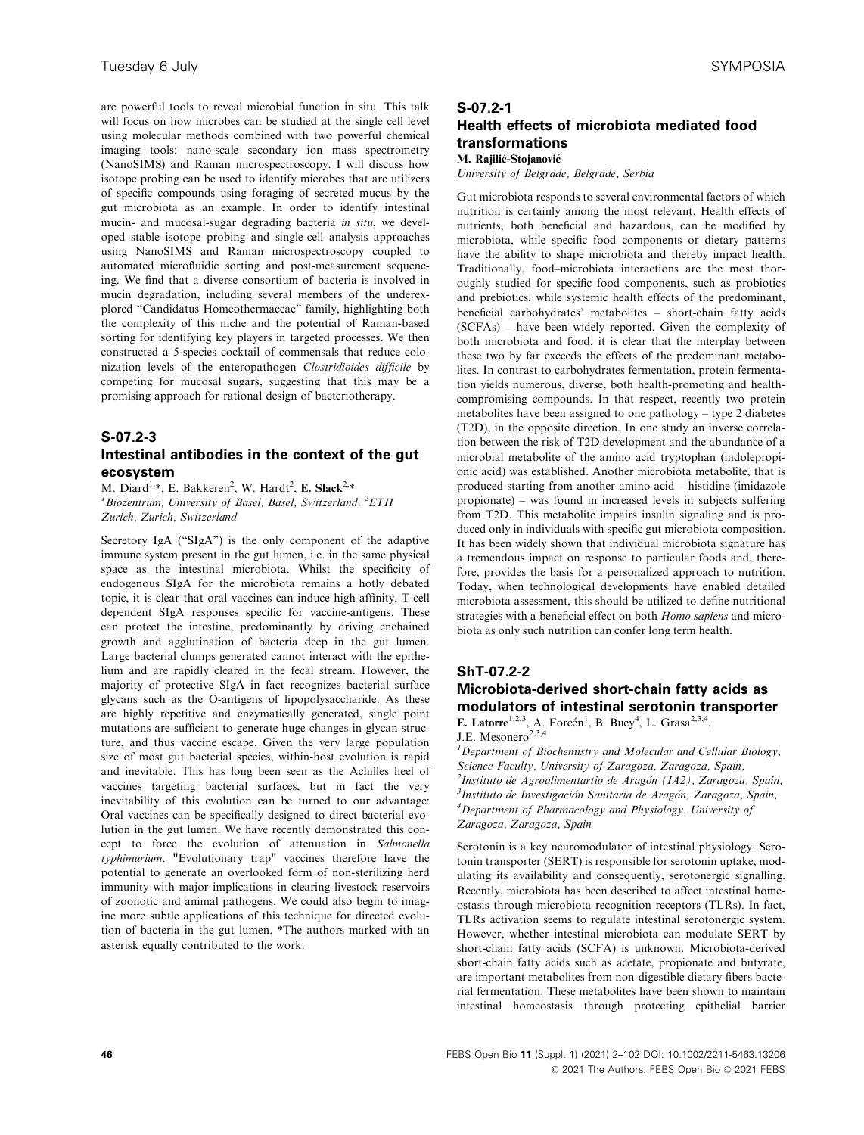are powerful tools to reveal microbial function in situ. This talk will focus on how microbes can be studied at the single cell level using molecular methods combined with two powerful chemical imaging tools: nano-scale secondary ion mass spectrometry (NanoSIMS) and Raman microspectroscopy. I will discuss how isotope probing can be used to identify microbes that are utilizers of specific compounds using foraging of secreted mucus by the gut microbiota as an example. In order to identify intestinal mucin- and mucosal-sugar degrading bacteria in situ, we developed stable isotope probing and single-cell analysis approaches using NanoSIMS and Raman microspectroscopy coupled to automated microfluidic sorting and post-measurement sequencing. We find that a diverse consortium of bacteria is involved in mucin degradation, including several members of the underexplored "Candidatus Homeothermaceae" family, highlighting both the complexity of this niche and the potential of Raman-based sorting for identifying key players in targeted processes. We then constructed a 5-species cocktail of commensals that reduce colonization levels of the enteropathogen Clostridioides difficile by competing for mucosal sugars, suggesting that this may be a promising approach for rational design of bacteriotherapy.

### S-07.2-3

## Intestinal antibodies in the context of the gut ecosystem

M. Diard<sup>1,\*</sup>, E. Bakkeren<sup>2</sup>, W. Hardt<sup>2</sup>, **E. Slack<sup>2,\*</sup>**<br><sup>1</sup> Biozantrum, University of Basel, Basel, Switzerland Biozentrum, University of Basel, Basel, Switzerland, <sup>2</sup>ETH Zurich, Zurich, Switzerland

Secretory IgA ("SIgA") is the only component of the adaptive immune system present in the gut lumen, i.e. in the same physical space as the intestinal microbiota. Whilst the specificity of endogenous SIgA for the microbiota remains a hotly debated topic, it is clear that oral vaccines can induce high-affinity, T-cell dependent SIgA responses specific for vaccine-antigens. These can protect the intestine, predominantly by driving enchained growth and agglutination of bacteria deep in the gut lumen. Large bacterial clumps generated cannot interact with the epithelium and are rapidly cleared in the fecal stream. However, the majority of protective SIgA in fact recognizes bacterial surface glycans such as the O-antigens of lipopolysaccharide. As these are highly repetitive and enzymatically generated, single point mutations are sufficient to generate huge changes in glycan structure, and thus vaccine escape. Given the very large population size of most gut bacterial species, within-host evolution is rapid and inevitable. This has long been seen as the Achilles heel of vaccines targeting bacterial surfaces, but in fact the very inevitability of this evolution can be turned to our advantage: Oral vaccines can be specifically designed to direct bacterial evolution in the gut lumen. We have recently demonstrated this concept to force the evolution of attenuation in Salmonella typhimurium. "Evolutionary trap" vaccines therefore have the potential to generate an overlooked form of non-sterilizing herd immunity with major implications in clearing livestock reservoirs of zoonotic and animal pathogens. We could also begin to imagine more subtle applications of this technique for directed evolution of bacteria in the gut lumen. \*The authors marked with an asterisk equally contributed to the work.

## S-07.2-1 Health effects of microbiota mediated food transformations M. Rajilić-Stojanović

## University of Belgrade, Belgrade, Serbia

Gut microbiota responds to several environmental factors of which nutrition is certainly among the most relevant. Health effects of nutrients, both beneficial and hazardous, can be modified by microbiota, while specific food components or dietary patterns have the ability to shape microbiota and thereby impact health. Traditionally, food–microbiota interactions are the most thoroughly studied for specific food components, such as probiotics and prebiotics, while systemic health effects of the predominant, beneficial carbohydrates' metabolites – short-chain fatty acids (SCFAs) – have been widely reported. Given the complexity of both microbiota and food, it is clear that the interplay between these two by far exceeds the effects of the predominant metabolites. In contrast to carbohydrates fermentation, protein fermentation yields numerous, diverse, both health-promoting and healthcompromising compounds. In that respect, recently two protein metabolites have been assigned to one pathology – type 2 diabetes (T2D), in the opposite direction. In one study an inverse correlation between the risk of T2D development and the abundance of a microbial metabolite of the amino acid tryptophan (indolepropionic acid) was established. Another microbiota metabolite, that is produced starting from another amino acid – histidine (imidazole propionate) – was found in increased levels in subjects suffering from T2D. This metabolite impairs insulin signaling and is produced only in individuals with specific gut microbiota composition. It has been widely shown that individual microbiota signature has a tremendous impact on response to particular foods and, therefore, provides the basis for a personalized approach to nutrition. Today, when technological developments have enabled detailed microbiota assessment, this should be utilized to define nutritional strategies with a beneficial effect on both *Homo sapiens* and microbiota as only such nutrition can confer long term health.

### ShT-07.2-2

# Microbiota-derived short-chain fatty acids as modulators of intestinal serotonin transporter

E. Latorre<sup>1,2,3</sup>, A. Forcén<sup>1</sup>, B. Buey<sup>4</sup>, L. Grasa<sup>2,3,4</sup>,

J.E. Mesonero<sup>2,3,4</sup>

<sup>1</sup>Department of Biochemistry and Molecular and Cellular Biology, Science Faculty, University of Zaragoza, Zaragoza, Spain, <sup>2</sup>Instituto de Agroalimentartio de Aragón (IA2), Zaragoza, Spain,<br><sup>3</sup>Instituto de Investigación Sanitaria de Aragón, Zaragoza, Spain,  $3$ Instituto de Investigación Sanitaria de Aragón, Zaragoza, Spain,  ${}^4$ Department of Pharmacology and Physiology. University of Zaragoza, Zaragoza, Spain

Serotonin is a key neuromodulator of intestinal physiology. Serotonin transporter (SERT) is responsible for serotonin uptake, modulating its availability and consequently, serotonergic signalling. Recently, microbiota has been described to affect intestinal homeostasis through microbiota recognition receptors (TLRs). In fact, TLRs activation seems to regulate intestinal serotonergic system. However, whether intestinal microbiota can modulate SERT by short-chain fatty acids (SCFA) is unknown. Microbiota-derived short-chain fatty acids such as acetate, propionate and butyrate, are important metabolites from non-digestible dietary fibers bacterial fermentation. These metabolites have been shown to maintain intestinal homeostasis through protecting epithelial barrier